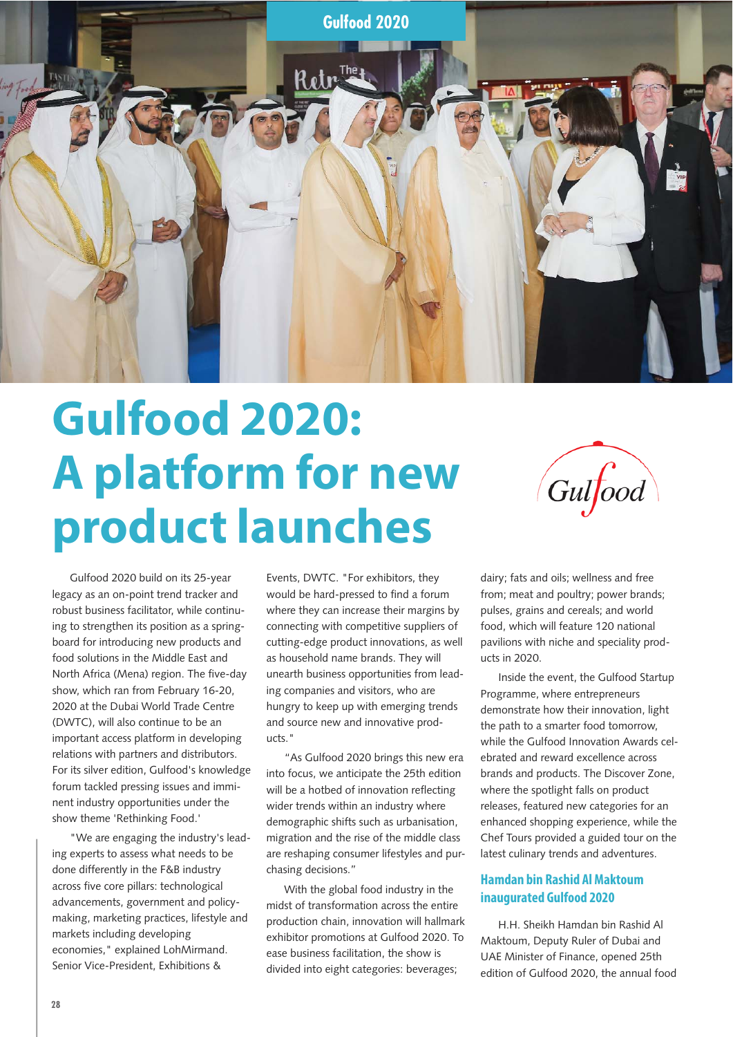

## **Gulfood 2020: A platform for new product launches**



Gulfood 2020 build on its 25-year legacy as an on-point trend tracker and robust business facilitator, while continuing to strengthen its position as a springboard for introducing new products and food solutions in the Middle East and North Africa (Mena) region. The five-day show, which ran from February 16-20, 2020 at the Dubai World Trade Centre (DWTC), will also continue to be an important access platform in developing relations with partners and distributors. For its silver edition, Gulfood's knowledge forum tackled pressing issues and imminent industry opportunities under the show theme 'Rethinking Food.'

"We are engaging the industry's leading experts to assess what needs to be done differently in the F&B industry across five core pillars: technological advancements, government and policymaking, marketing practices, lifestyle and markets including developing economies," explained LohMirmand. Senior Vice-President, Exhibitions &

Events, DWTC. "For exhibitors, they would be hard-pressed to find a forum where they can increase their margins by connecting with competitive suppliers of cutting-edge product innovations, as well as household name brands. They will unearth business opportunities from leading companies and visitors, who are hungry to keep up with emerging trends and source new and innovative products."

"As Gulfood 2020 brings this new era into focus, we anticipate the 25th edition will be a hotbed of innovation reflecting wider trends within an industry where demographic shifts such as urbanisation, migration and the rise of the middle class are reshaping consumer lifestyles and purchasing decisions."

With the global food industry in the midst of transformation across the entire production chain, innovation will hallmark exhibitor promotions at Gulfood 2020. To ease business facilitation, the show is divided into eight categories: beverages;

dairy; fats and oils; wellness and free from; meat and poultry; power brands; pulses, grains and cereals; and world food, which will feature 120 national pavilions with niche and speciality products in 2020.

Inside the event, the Gulfood Startup Programme, where entrepreneurs demonstrate how their innovation, light the path to a smarter food tomorrow, while the Gulfood Innovation Awards celebrated and reward excellence across brands and products. The Discover Zone, where the spotlight falls on product releases, featured new categories for an enhanced shopping experience, while the Chef Tours provided a guided tour on the latest culinary trends and adventures.

## **Hamdan bin Rashid Al Maktoum inaugurated Gulfood 2020**

H.H. Sheikh Hamdan bin Rashid Al Maktoum, Deputy Ruler of Dubai and UAE Minister of Finance, opened 25th edition of Gulfood 2020, the annual food